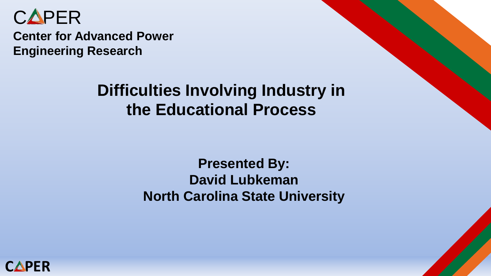

**Center for Advanced Power Engineering Research**

#### **Difficulties Involving Industry in the Educational Process**

#### **Presented By: David Lubkeman North Carolina State University**

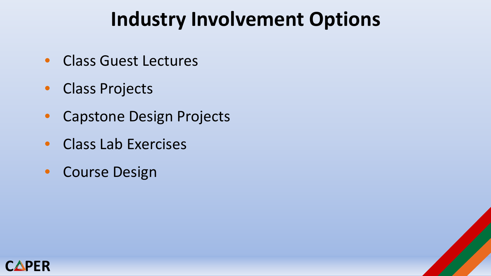## **Industry Involvement Options**

- Class Guest Lectures
- Class Projects
- Capstone Design Projects
- Class Lab Exercises
- Course Design

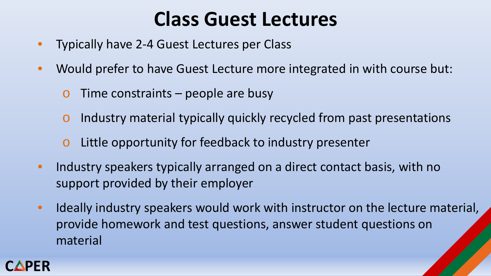## **Class Guest Lectures**

- Typically have 2-4 Guest Lectures per Class
- Would prefer to have Guest Lecture more integrated in with course but:
	- $\circ$  Time constraints people are busy
	- o Industry material typically quickly recycled from past presentations
	- o Little opportunity for feedback to industry presenter
- Industry speakers typically arranged on a direct contact basis, with no support provided by their employer
- Ideally industry speakers would work with instructor on the lecture material, provide homework and test questions, answer student questions on material

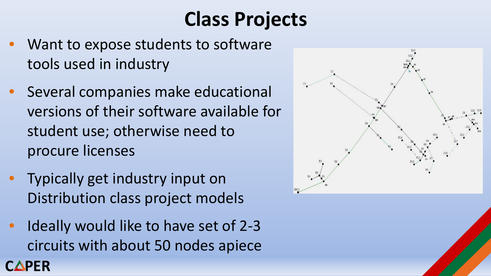# **Class Projects**

- Want to expose students to software tools used in industry
- Several companies make educational versions of their software available for student use; otherwise need to procure licenses
- Typically get industry input on Distribution class project models

**CAPER** 

• Ideally would like to have set of 2-3 circuits with about 50 nodes apiece

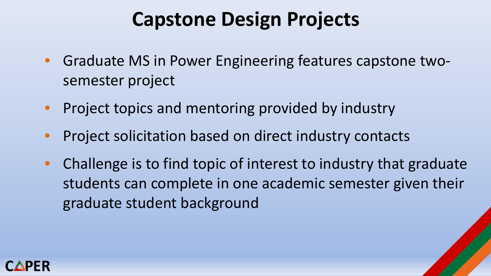## **Capstone Design Projects**

- Graduate MS in Power Engineering features capstone twosemester project
- Project topics and mentoring provided by industry
- Project solicitation based on direct industry contacts
- Challenge is to find topic of interest to industry that graduate students can complete in one academic semester given their graduate student background

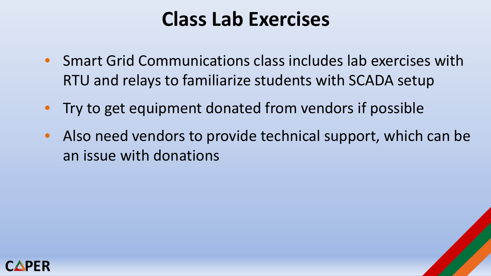## **Class Lab Exercises**

- Smart Grid Communications class includes lab exercises with RTU and relays to familiarize students with SCADA setup
- Try to get equipment donated from vendors if possible
- Also need vendors to provide technical support, which can be an issue with donations

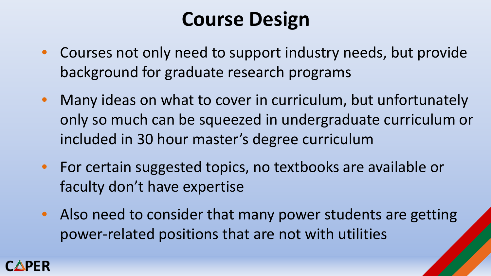## **Course Design**

- Courses not only need to support industry needs, but provide background for graduate research programs
- Many ideas on what to cover in curriculum, but unfortunately only so much can be squeezed in undergraduate curriculum or included in 30 hour master's degree curriculum
- For certain suggested topics, no textbooks are available or faculty don't have expertise
- Also need to consider that many power students are getting power-related positions that are not with utilities